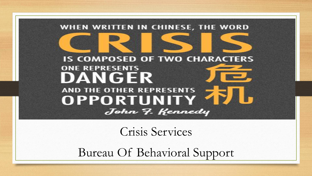#### WHEN WRITTEN IN CHINESE, THE WORD **IS COMPOSED OF TWO CHARACTERS ONE REPRESENTS** DANGER **AND THE OTHER REPRESENTS OPPORTUNITY'** John 7. Kennedy

Crisis Services

Bureau Of Behavioral Support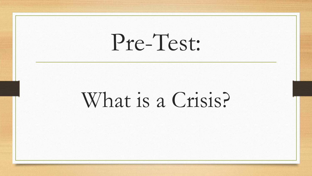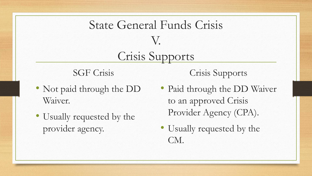### State General Funds Crisis V. Crisis Supports

SGF Crisis

- Not paid through the DD Waiver.
- Usually requested by the provider agency.

Crisis Supports

- Paid through the DD Waiver to an approved Crisis Provider Agency (CPA).
- Usually requested by the CM.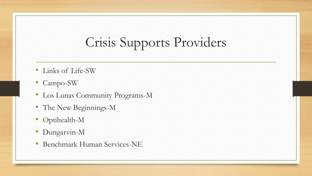### Crisis Supports Providers

- Links of Life-SW
- Campo-SW
- Los Lunas Community Programs-M
- The New Beginnings-M
- Optihealth-M
- Dungarvin-M
- Benchmark Human Services-NE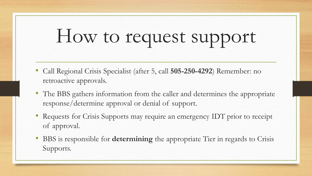## How to request support

- Call Regional Crisis Specialist (after 5, call **505-250-4292**) Remember: no retroactive approvals.
- The BBS gathers information from the caller and determines the appropriate response/determine approval or denial of support.
- Requests for Crisis Supports may require an emergency IDT prior to receipt of approval.
- BBS is responsible for **determining** the appropriate Tier in regards to Crisis Supports.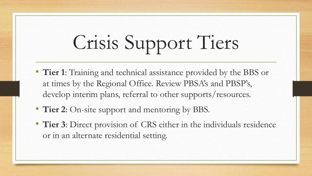# Crisis Support Tiers

- **Tier 1**: Training and technical assistance provided by the BBS or at times by the Regional Office. Review PBSA's and PBSP's, develop interim plans, referral to other supports/resources.
- **Tier 2**: On-site support and mentoring by BBS.
- **Tier 3**: Direct provision of CRS either in the individuals residence or in an alternate residential setting.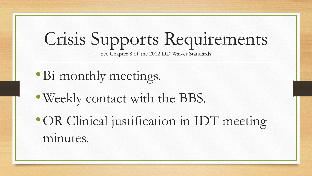## Crisis Supports Requirements

See Chapter 8 of the 2012 DD Waiver Standards

- •Bi-monthly meetings.
- •Weekly contact with the BBS.
- •OR Clinical justification in IDT meeting minutes.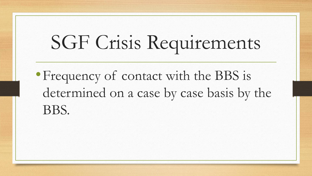# SGF Crisis Requirements

•Frequency of contact with the BBS is determined on a case by case basis by the BBS.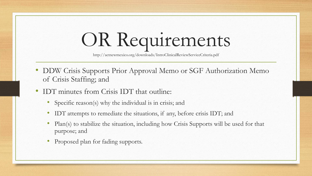## OR Requirements

http://actnewmexico.org/downloads/IntroClinicalReviewServiceCriteria.pdf

- DDW Crisis Supports Prior Approval Memo or SGF Authorization Memo of Crisis Staffing; and
- IDT minutes from Crisis IDT that outline:
	- Specific reason(s) why the individual is in crisis; and
	- IDT attempts to remediate the situations, if any, before crisis IDT; and
	- Plan(s) to stabilize the situation, including how Crisis Supports will be used for that purpose; and
	- Proposed plan for fading supports.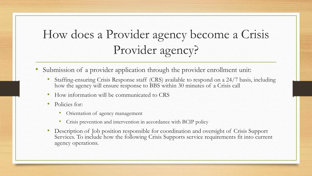### How does a Provider agency become a Crisis Provider agency?

- Submission of a provider application through the provider enrollment unit:
	- Staffing-ensuring Crisis Response staff (CRS) available to respond on a 24/7 basis, including how the agency will ensure response to BBS within 30 minutes of a Crisis call
	- How information will be communicated to CRS
	- Policies for:
		- Orientation of agency management
		- Crisis prevention and intervention in accordance with BCIP policy
	- Description of Job position responsible for coordination and oversight of Crisis Support Services. To include how the following Crisis Supports service requirements fit into current agency operations.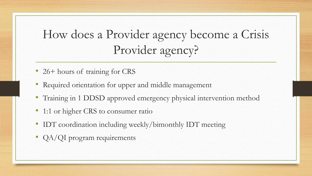### How does a Provider agency become a Crisis Provider agency?

- 26+ hours of training for CRS
- Required orientation for upper and middle management
- Training in 1 DDSD approved emergency physical intervention method
- 1:1 or higher CRS to consumer ratio
- IDT coordination including weekly/bimonthly IDT meeting
- QA/QI program requirements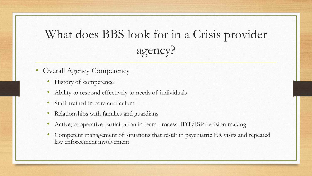### What does BBS look for in a Crisis provider agency?

- Overall Agency Competency
	- History of competence
	- Ability to respond effectively to needs of individuals
	- Staff trained in core curriculum
	- Relationships with families and guardians
	- Active, cooperative participation in team process, IDT/ISP decision making
	- Competent management of situations that result in psychiatric ER visits and repeated law enforcement involvement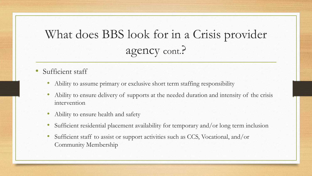### What does BBS look for in a Crisis provider agency cont.?

- Sufficient staff
	- Ability to assume primary or exclusive short term staffing responsibility
	- Ability to ensure delivery of supports at the needed duration and intensity of the crisis intervention
	- Ability to ensure health and safety
	- Sufficient residential placement availability for temporary and/or long term inclusion
	- Sufficient staff to assist or support activities such as CCS, Vocational, and/or Community Membership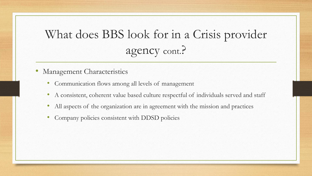### What does BBS look for in a Crisis provider agency cont.?

- Management Characteristics
	- Communication flows among all levels of management
	- A consistent, coherent value based culture respectful of individuals served and staff
	- All aspects of the organization are in agreement with the mission and practices
	- Company policies consistent with DDSD policies